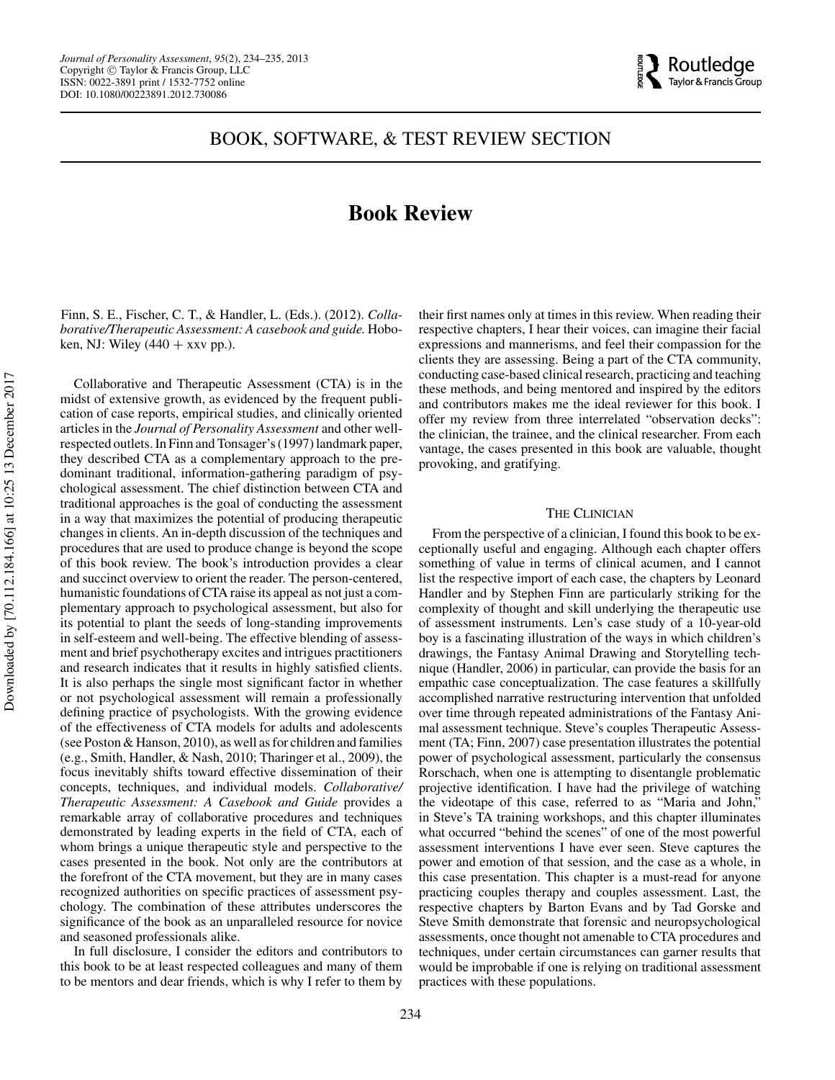

## BOOK, SOFTWARE, & TEST REVIEW SECTION

# **Book Review**

Finn, S. E., Fischer, C. T., & Handler, L. (Eds.). (2012). *Collaborative/Therapeutic Assessment: A casebook and guide.* Hoboken, NJ: Wiley  $(440 + xxv$  pp.).

Collaborative and Therapeutic Assessment (CTA) is in the midst of extensive growth, as evidenced by the frequent publication of case reports, empirical studies, and clinically oriented articles in the *Journal of Personality Assessment* and other wellrespected outlets. In Finn and Tonsager's (1997) landmark paper, they described CTA as a complementary approach to the predominant traditional, information-gathering paradigm of psychological assessment. The chief distinction between CTA and traditional approaches is the goal of conducting the assessment in a way that maximizes the potential of producing therapeutic changes in clients. An in-depth discussion of the techniques and procedures that are used to produce change is beyond the scope of this book review. The book's introduction provides a clear and succinct overview to orient the reader. The person-centered, humanistic foundations of CTA raise its appeal as not just a complementary approach to psychological assessment, but also for its potential to plant the seeds of long-standing improvements in self-esteem and well-being. The effective blending of assessment and brief psychotherapy excites and intrigues practitioners and research indicates that it results in highly satisfied clients. It is also perhaps the single most significant factor in whether or not psychological assessment will remain a professionally defining practice of psychologists. With the growing evidence of the effectiveness of CTA models for adults and adolescents (see Poston & Hanson, 2010), as well as for children and families (e.g., Smith, Handler, & Nash, 2010; Tharinger et al., 2009), the focus inevitably shifts toward effective dissemination of their concepts, techniques, and individual models. *Collaborative/ Therapeutic Assessment: A Casebook and Guide* provides a remarkable array of collaborative procedures and techniques demonstrated by leading experts in the field of CTA, each of whom brings a unique therapeutic style and perspective to the cases presented in the book. Not only are the contributors at the forefront of the CTA movement, but they are in many cases recognized authorities on specific practices of assessment psychology. The combination of these attributes underscores the significance of the book as an unparalleled resource for novice and seasoned professionals alike.

In full disclosure, I consider the editors and contributors to this book to be at least respected colleagues and many of them to be mentors and dear friends, which is why I refer to them by

their first names only at times in this review. When reading their respective chapters, I hear their voices, can imagine their facial expressions and mannerisms, and feel their compassion for the clients they are assessing. Being a part of the CTA community, conducting case-based clinical research, practicing and teaching these methods, and being mentored and inspired by the editors and contributors makes me the ideal reviewer for this book. I offer my review from three interrelated "observation decks": the clinician, the trainee, and the clinical researcher. From each vantage, the cases presented in this book are valuable, thought provoking, and gratifying.

#### THE CLINICIAN

From the perspective of a clinician, I found this book to be exceptionally useful and engaging. Although each chapter offers something of value in terms of clinical acumen, and I cannot list the respective import of each case, the chapters by Leonard Handler and by Stephen Finn are particularly striking for the complexity of thought and skill underlying the therapeutic use of assessment instruments. Len's case study of a 10-year-old boy is a fascinating illustration of the ways in which children's drawings, the Fantasy Animal Drawing and Storytelling technique (Handler, 2006) in particular, can provide the basis for an empathic case conceptualization. The case features a skillfully accomplished narrative restructuring intervention that unfolded over time through repeated administrations of the Fantasy Animal assessment technique. Steve's couples Therapeutic Assessment (TA; Finn, 2007) case presentation illustrates the potential power of psychological assessment, particularly the consensus Rorschach, when one is attempting to disentangle problematic projective identification. I have had the privilege of watching the videotape of this case, referred to as "Maria and John," in Steve's TA training workshops, and this chapter illuminates what occurred "behind the scenes" of one of the most powerful assessment interventions I have ever seen. Steve captures the power and emotion of that session, and the case as a whole, in this case presentation. This chapter is a must-read for anyone practicing couples therapy and couples assessment. Last, the respective chapters by Barton Evans and by Tad Gorske and Steve Smith demonstrate that forensic and neuropsychological assessments, once thought not amenable to CTA procedures and techniques, under certain circumstances can garner results that would be improbable if one is relying on traditional assessment practices with these populations.